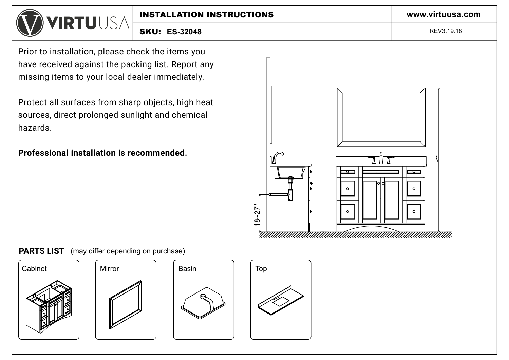Prior to installation, please check the items you have received against the packing list. Report any missing items to your local dealer immediately.

Protect all surfaces from sharp objects, high heat sources, direct prolonged sunlight and chemical hazards.

# **Professional installation is recommended.**



# **PARTS LIST** (may differ depending on purchase)









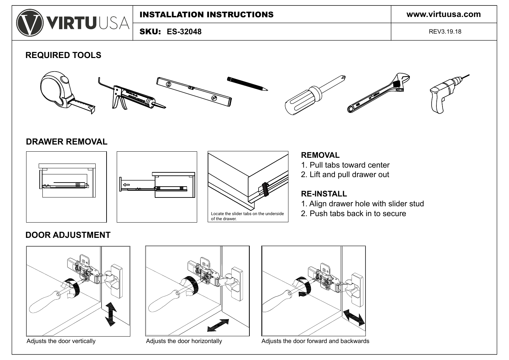

**ES-32048** SKU:

REV3.19.18

**REQUIRED TOOLS**



#### **DRAWER REMOVAL**







#### **REMOVAL**

- 1. Pull tabs toward center
- 2. Lift and pull drawer out

## **RE-INSTALL**

- 1. Align drawer hole with slider stud
- 2. Push tabs back in to secure

## **DOOR ADJUSTMENT**







Adjusts the door vertically **Adjusts the door horizontally** Adjusts the door forward and backwards